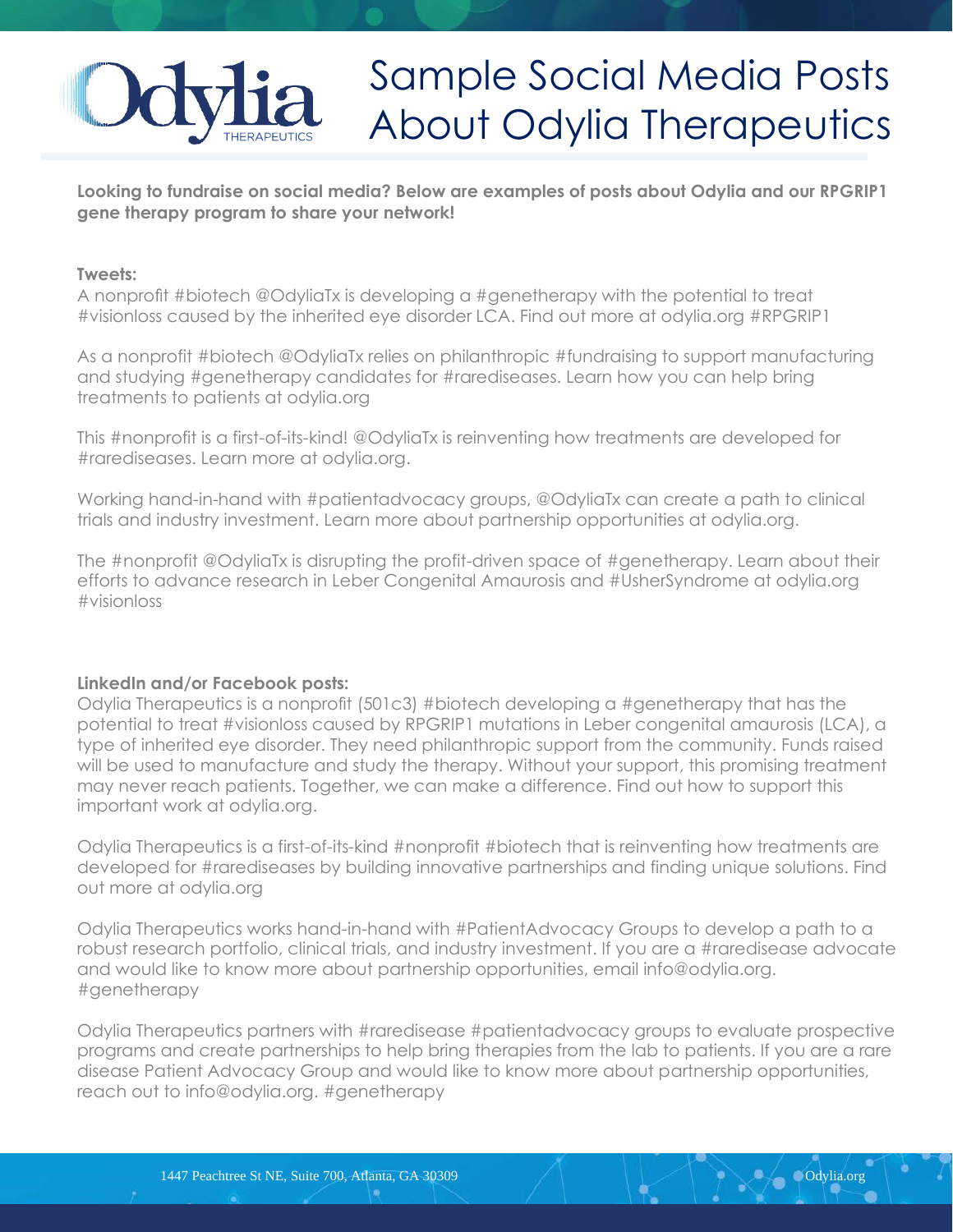## Sample Social Media Posts About Odylia Therapeutics

**Looking to fundraise on social media? Below are examples of posts about Odylia and our RPGRIP1 gene therapy program to share your network!**

## **Tweets:**

A nonprofit #biotech @OdyliaTx is developing a #genetherapy with the potential to treat #visionloss caused by the inherited eye disorder LCA. Find out more at odylia.org #RPGRIP1

As a nonprofit #biotech @OdyliaTx relies on philanthropic #fundraising to support manufacturing and studying #genetherapy candidates for #rarediseases. Learn how you can help bring treatments to patients at odylia.org

This #nonprofit is a first-of-its-kind! @OdyliaTx is reinventing how treatments are developed for #rarediseases. Learn more at odylia.org.

Working hand-in-hand with #patientadvocacy groups, @OdyliaTx can create a path to clinical trials and industry investment. Learn more about partnership opportunities at odylia.org.

The #nonprofit @OdyliaTx is disrupting the profit-driven space of #genetherapy. Learn about their efforts to advance research in Leber Congenital Amaurosis and #UsherSyndrome at odylia.org #visionloss

## **LinkedIn and/or Facebook posts:**

Odylia Therapeutics is a nonprofit (501c3) #biotech developing a #genetherapy that has the potential to treat #visionloss caused by RPGRIP1 mutations in Leber congenital amaurosis (LCA), a type of inherited eye disorder. They need philanthropic support from the community. Funds raised will be used to manufacture and study the therapy. Without your support, this promising treatment may never reach patients. Together, we can make a difference. Find out how to support this important work at odylia.org.

Odylia Therapeutics is a first-of-its-kind #nonprofit #biotech that is reinventing how treatments are developed for #rarediseases by building innovative partnerships and finding unique solutions. Find out more at odylia.org

Odylia Therapeutics works hand-in-hand with #PatientAdvocacy Groups to develop a path to a robust research portfolio, clinical trials, and industry investment. If you are a #raredisease advocate and would like to know more about partnership opportunities, email info@odylia.org. #genetherapy

Odylia Therapeutics partners with #raredisease #patientadvocacy groups to evaluate prospective programs and create partnerships to help bring therapies from the lab to patients. If you are a rare disease Patient Advocacy Group and would like to know more about partnership opportunities, reach out to info@odylia.org. #genetherapy